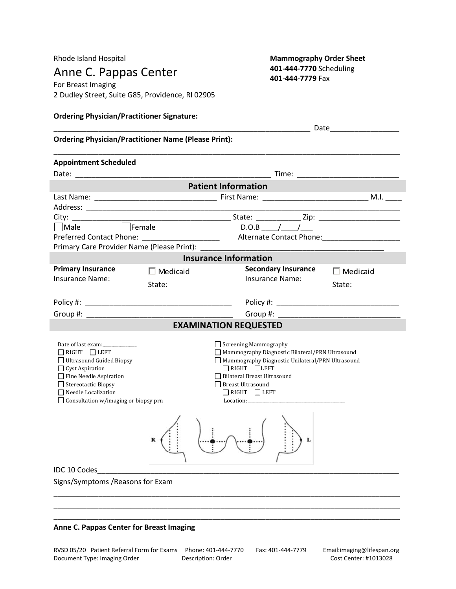Anne C. Pappas Center **401-444-7770** Scheduling **401-444-7770** Fax

For Breast Imaging 2 Dudley Street, Suite G85, Providence, RI 02905

# Rhode Island Hospital **Mammography Order Sheet Mammography Order Sheet**

| <b>Ordering Physician/Practitioner Signature:</b>                                                                                                                                                                                                                                             |                 |                                                                                                                                                                                                                                                 |                                                             |
|-----------------------------------------------------------------------------------------------------------------------------------------------------------------------------------------------------------------------------------------------------------------------------------------------|-----------------|-------------------------------------------------------------------------------------------------------------------------------------------------------------------------------------------------------------------------------------------------|-------------------------------------------------------------|
| Date and the contract of the contract of the contract of the contract of the contract of the contract of the contract of the contract of the contract of the contract of the contract of the contract of the contract of the c<br><b>Ordering Physician/Practitioner Name (Please Print):</b> |                 |                                                                                                                                                                                                                                                 |                                                             |
| <b>Appointment Scheduled</b>                                                                                                                                                                                                                                                                  |                 |                                                                                                                                                                                                                                                 |                                                             |
|                                                                                                                                                                                                                                                                                               |                 |                                                                                                                                                                                                                                                 |                                                             |
|                                                                                                                                                                                                                                                                                               |                 | <b>Patient Information</b>                                                                                                                                                                                                                      |                                                             |
|                                                                                                                                                                                                                                                                                               |                 |                                                                                                                                                                                                                                                 |                                                             |
|                                                                                                                                                                                                                                                                                               |                 |                                                                                                                                                                                                                                                 | the control of the control of the control of the control of |
|                                                                                                                                                                                                                                                                                               |                 |                                                                                                                                                                                                                                                 |                                                             |
|                                                                                                                                                                                                                                                                                               |                 |                                                                                                                                                                                                                                                 |                                                             |
|                                                                                                                                                                                                                                                                                               |                 |                                                                                                                                                                                                                                                 |                                                             |
| Primary Care Provider Name (Please Print):                                                                                                                                                                                                                                                    |                 |                                                                                                                                                                                                                                                 |                                                             |
|                                                                                                                                                                                                                                                                                               |                 | <b>Insurance Information</b>                                                                                                                                                                                                                    |                                                             |
| <b>Primary Insurance</b>                                                                                                                                                                                                                                                                      | $\Box$ Medicaid | <b>Secondary Insurance</b>                                                                                                                                                                                                                      | $\Box$ Medicaid                                             |
| <b>Insurance Name:</b>                                                                                                                                                                                                                                                                        | State:          | <b>Insurance Name:</b>                                                                                                                                                                                                                          | State:                                                      |
|                                                                                                                                                                                                                                                                                               |                 |                                                                                                                                                                                                                                                 |                                                             |
|                                                                                                                                                                                                                                                                                               |                 |                                                                                                                                                                                                                                                 |                                                             |
|                                                                                                                                                                                                                                                                                               |                 |                                                                                                                                                                                                                                                 |                                                             |
|                                                                                                                                                                                                                                                                                               |                 | <b>EXAMINATION REQUESTED</b>                                                                                                                                                                                                                    |                                                             |
| Date of last exam:<br>$\Box$ RIGHT $\Box$ LEFT<br>Ultrasound Guided Biopsy<br>$\Box$ Cyst Aspiration<br>Fine Needle Aspiration<br>$\Box$ Stereotactic Biopsy<br>$\Box$ Needle Localization<br>$\Box$ Consultation w/imaging or biopsy prn                                                     |                 | Screening Mammography<br>Mammography Diagnostic Bilateral/PRN Ultrasound<br>Mammography Diagnostic Unilateral/PRN Ultrasound<br>$\Box$ RIGHT $\Box$ LEFT<br>Bilateral Breast Ultrasound<br><b>Breast Ultrasound</b><br>$\Box$ RIGHT $\Box$ LEFT |                                                             |
| IDC 10 Codes<br>Signs/Symptoms / Reasons for Exam                                                                                                                                                                                                                                             |                 |                                                                                                                                                                                                                                                 |                                                             |

\_\_\_\_\_\_\_\_\_\_\_\_\_\_\_\_\_\_\_\_\_\_\_\_\_\_\_\_\_\_\_\_\_\_\_\_\_\_\_\_\_\_\_\_\_\_\_\_\_\_\_\_\_\_\_\_\_\_\_\_\_\_\_\_\_\_\_\_\_\_\_\_\_\_\_\_\_\_\_\_\_\_\_\_\_

#### **Anne C. Pappas Center for Breast Imaging**